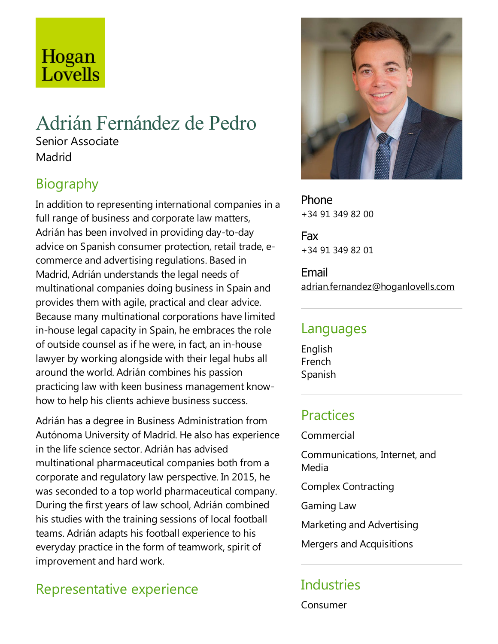# Hogan Lovells

## Adrián Fernández de Pedro

Senior Associate **Madrid** 

## Biography

In addition to representing international companies in a full range of business and corporate law matters, Adrián has been involved in providing day-to-day advice on Spanish consumer protection, retail trade,ecommerce and advertising regulations. Based in Madrid, Adrián understands the legal needs of multinational companies doing business in Spain and provides them with agile, practical and clear advice. Because many multinational corporations have limited in-house legal capacity in Spain, he embraces the role of outside counsel as if he were, in fact, an in-house lawyer by working alongside with their legal hubs all around the world. Adrián combines his passion practicing law with keen business management knowhow to help his clients achieve business success.

Adrián has a degree in Business Administration from Autónoma University of Madrid. He also has experience in the life science sector. Adrián has advised multinational pharmaceutical companies both from a corporate and regulatory law perspective. In 2015, he was seconded to a top world pharmaceutical company. During the first years of law school, Adrián combined his studies with the training sessions of local football teams. Adrián adapts his football experience to his everyday practice in the form of teamwork, spirit of improvement and hard work.

## Representative experience



Phone +34 91 349 82 00

Fax +34 91 349 82 01

Email adrian.fernandez@hoganlovells.com

#### Languages

English French Spanish

### **Practices**

Commercial

Communications, Internet, and Media

Complex Contracting

Gaming Law

Marketing and Advertising

Mergers and Acquisitions

#### **Industries**

Consumer